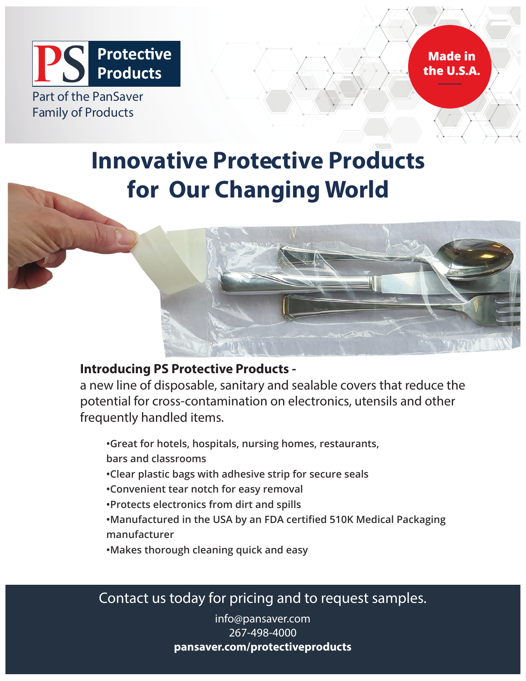

# **Innovative Protective Products for Our Changing World**



# **Introducing PS Protective Products -**

a new line of disposable, sanitary and sealable covers that reduce the potential for cross-contamination on electronics, utensils and other frequently handled items.

**•Great for hotels, hospitals, nursing homes, restaurants, bars and classrooms**

- **•Clear plastic bags with adhesive strip for secure seals**
- **•Convenient tear notch for easy removal**
- **•Protects electronics from dirt and spills**
- •Manufactured in the USA by an FDA certified 510K Medical Packaging **manufacturer**
- **•Makes thorough cleaning quick and easy**

Contact us today for pricing and to request samples.

info@pansaver.com 267-498-4000 **pansaver.com/protectiveproducts**